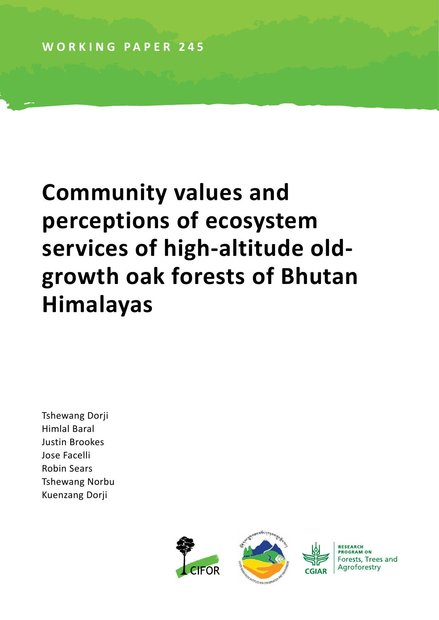**WORKING PAPER 245**

# **Community values and perceptions of ecosystem services of high-altitude oldgrowth oak forests of Bhutan Himalayas**

Tshewang Dorji Himlal Baral Justin Brookes Jose Facelli Robin Sears Tshewang Norbu Kuenzang Dorji



RESEARCH **PROGRAM ON** Forests, Trees and Agroforestry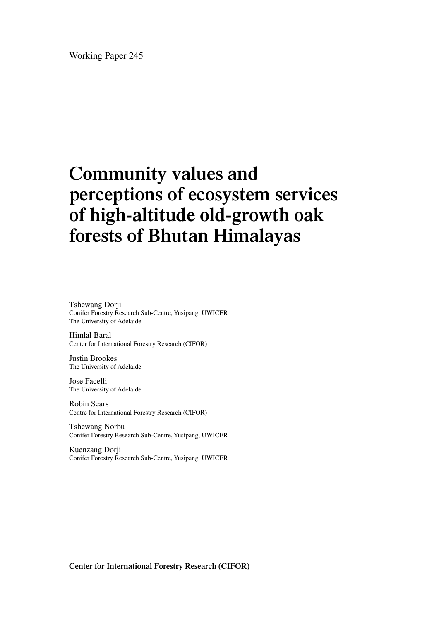Working Paper 245

# **Community values and perceptions of ecosystem services of high-altitude old-growth oak forests of Bhutan Himalayas**

Tshewang Dorji Conifer Forestry Research Sub-Centre, Yusipang, UWICER The University of Adelaide

Himlal Baral Center for International Forestry Research (CIFOR)

Justin Brookes The University of Adelaide

Jose Facelli The University of Adelaide

Robin Sears Centre for International Forestry Research (CIFOR)

Tshewang Norbu Conifer Forestry Research Sub-Centre, Yusipang, UWICER

Kuenzang Dorji Conifer Forestry Research Sub-Centre, Yusipang, UWICER

**Center for International Forestry Research (CIFOR)**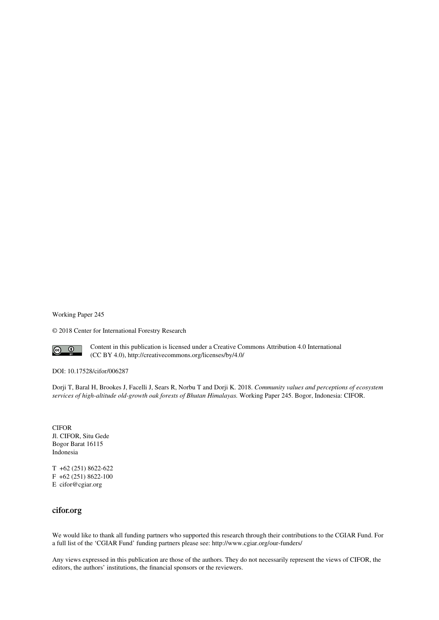Working Paper 245

© 2018 Center for International Forestry Research



Content in this publication is licensed under a Creative Commons Attribution 4.0 International (CC BY 4.0), http://creativecommons.org/licenses/by/4.0/

DOI: 10.17528/cifor/006287

Dorji T, Baral H, Brookes J, Facelli J, Sears R, Norbu T and Dorji K. 2018. *Community values and perceptions of ecosystem services of high-altitude old-growth oak forests of Bhutan Himalayas.* Working Paper 245. Bogor, Indonesia: CIFOR.

CIFOR Jl. CIFOR, Situ Gede Bogor Barat 16115 Indonesia

T +62 (251) 8622-622 F +62 (251) 8622-100 E cifor@cgiar.org

#### **cifor.org**

We would like to thank all funding partners who supported this research through their contributions to the CGIAR Fund. For a full list of the 'CGIAR Fund' funding partners please see: http://www.cgiar.org/our-funders/

Any views expressed in this publication are those of the authors. They do not necessarily represent the views of CIFOR, the editors, the authors' institutions, the financial sponsors or the reviewers.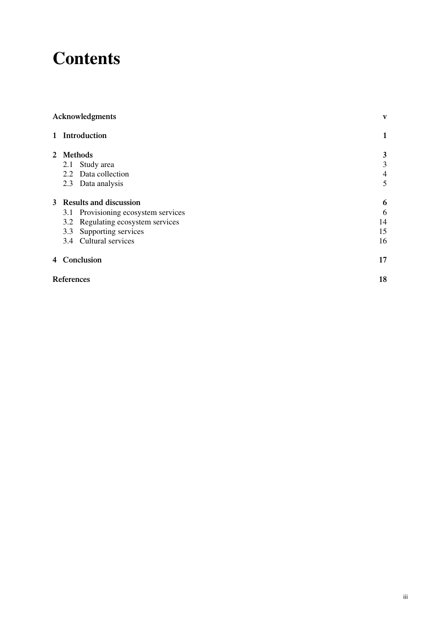## **Contents**

|     |                     | V                                                                                                                                                                                                                                                         |
|-----|---------------------|-----------------------------------------------------------------------------------------------------------------------------------------------------------------------------------------------------------------------------------------------------------|
|     |                     | $\mathbf{1}$                                                                                                                                                                                                                                              |
|     |                     | 3                                                                                                                                                                                                                                                         |
|     |                     | 3                                                                                                                                                                                                                                                         |
|     |                     | $\overline{4}$                                                                                                                                                                                                                                            |
| 2.3 | Data analysis       | 5                                                                                                                                                                                                                                                         |
|     |                     | 6                                                                                                                                                                                                                                                         |
|     |                     | 6                                                                                                                                                                                                                                                         |
|     |                     | 14                                                                                                                                                                                                                                                        |
| 3.3 | Supporting services | 15                                                                                                                                                                                                                                                        |
| 3.4 |                     | 16                                                                                                                                                                                                                                                        |
|     |                     | 17                                                                                                                                                                                                                                                        |
|     |                     | 18                                                                                                                                                                                                                                                        |
|     |                     | Acknowledgments<br>1 Introduction<br>2 Methods<br>2.1 Study area<br>2.2 Data collection<br>3 Results and discussion<br>3.1 Provisioning ecosystem services<br>3.2 Regulating ecosystem services<br>Cultural services<br>4 Conclusion<br><b>References</b> |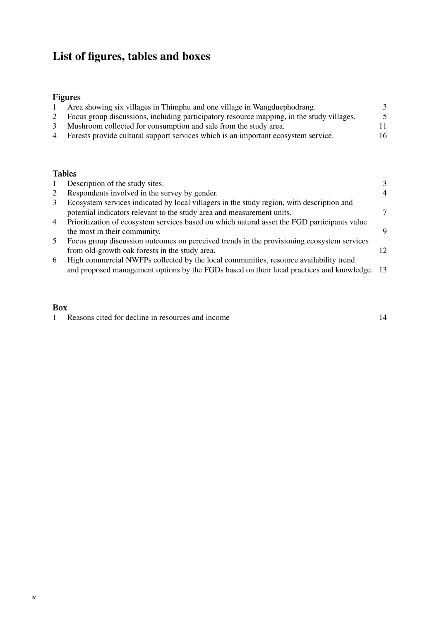### **List of figures, tables and boxes**

#### **Figures**

| Area showing six villages in Thimphu and one village in Wangduephodrang.                  |    |
|-------------------------------------------------------------------------------------------|----|
| Focus group discussions, including participatory resource mapping, in the study villages. |    |
| Mushroom collected for consumption and sale from the study area.                          |    |
| 4 Forests provide cultural support services which is an important ecosystem service.      | 16 |

#### **Tables**

|                | Description of the study sites.                                                              |     |
|----------------|----------------------------------------------------------------------------------------------|-----|
| 2              | Respondents involved in the survey by gender.                                                | 4   |
| 3              | Ecosystem services indicated by local villagers in the study region, with description and    |     |
|                | potential indicators relevant to the study area and measurement units.                       |     |
| $\overline{4}$ | Prioritization of ecosystem services based on which natural asset the FGD participants value |     |
|                | the most in their community.                                                                 | Q   |
| 5              | Focus group discussion outcomes on perceived trends in the provisioning ecosystem services   |     |
|                | from old-growth oak forests in the study area.                                               | 12. |
| 6              | High commercial NWFPs collected by the local communities, resource availability trend        |     |
|                | and proposed management options by the FGDs based on their local practices and knowledge. 13 |     |

#### **Box**

1 Reasons cited for decline in resources and income 14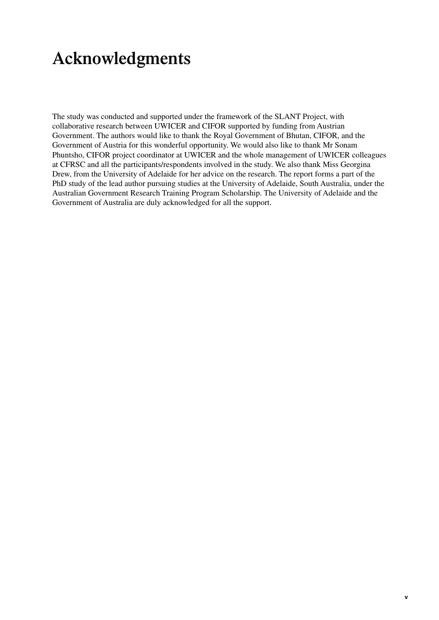## <span id="page-6-0"></span>**Acknowledgments**

The study was conducted and supported under the framework of the SLANT Project, with collaborative research between UWICER and CIFOR supported by funding from Austrian Government. The authors would like to thank the Royal Government of Bhutan, CIFOR, and the Government of Austria for this wonderful opportunity. We would also like to thank Mr Sonam Phuntsho, CIFOR project coordinator at UWICER and the whole management of UWICER colleagues at CFRSC and all the participants/respondents involved in the study. We also thank Miss Georgina Drew, from the University of Adelaide for her advice on the research. The report forms a part of the PhD study of the lead author pursuing studies at the University of Adelaide, South Australia, under the Australian Government Research Training Program Scholarship. The University of Adelaide and the Government of Australia are duly acknowledged for all the support.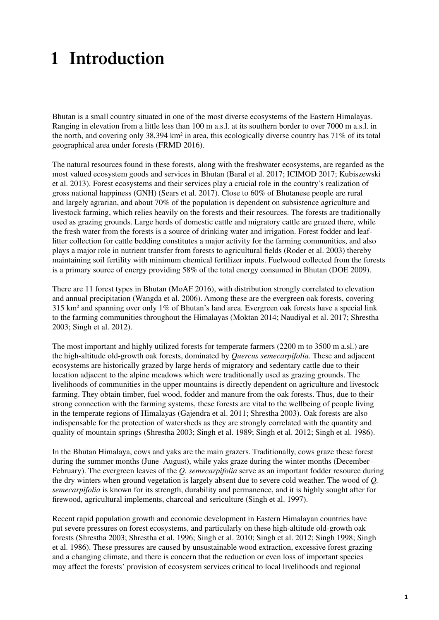# <span id="page-8-0"></span>**1 Introduction**

Bhutan is a small country situated in one of the most diverse ecosystems of the Eastern Himalayas. Ranging in elevation from a little less than 100 m a.s.l. at its southern border to over 7000 m a.s.l. in the north, and covering only  $38,394 \text{ km}^2$  in area, this ecologically diverse country has  $71\%$  of its total geographical area under forests (FRMD 2016).

The natural resources found in these forests, along with the freshwater ecosystems, are regarded as the most valued ecosystem goods and services in Bhutan (Baral et al. 2017; ICIMOD 2017; Kubiszewski et al. 2013). Forest ecosystems and their services play a crucial role in the country's realization of gross national happiness (GNH) (Sears et al. 2017). Close to 60% of Bhutanese people are rural and largely agrarian, and about 70% of the population is dependent on subsistence agriculture and livestock farming, which relies heavily on the forests and their resources. The forests are traditionally used as grazing grounds. Large herds of domestic cattle and migratory cattle are grazed there, while the fresh water from the forests is a source of drinking water and irrigation. Forest fodder and leaflitter collection for cattle bedding constitutes a major activity for the farming communities, and also plays a major role in nutrient transfer from forests to agricultural fields (Roder et al. 2003) thereby maintaining soil fertility with minimum chemical fertilizer inputs. Fuelwood collected from the forests is a primary source of energy providing 58% of the total energy consumed in Bhutan (DOE 2009).

There are 11 forest types in Bhutan (MoAF 2016), with distribution strongly correlated to elevation and annual precipitation (Wangda et al. 2006). Among these are the evergreen oak forests, covering 315 km2 and spanning over only 1% of Bhutan's land area. Evergreen oak forests have a special link to the farming communities throughout the Himalayas (Moktan 2014; Naudiyal et al. 2017; Shrestha 2003; Singh et al. 2012).

The most important and highly utilized forests for temperate farmers (2200 m to 3500 m a.sl.) are the high-altitude old-growth oak forests, dominated by *Quercus semecarpifolia*. These and adjacent ecosystems are historically grazed by large herds of migratory and sedentary cattle due to their location adjacent to the alpine meadows which were traditionally used as grazing grounds. The livelihoods of communities in the upper mountains is directly dependent on agriculture and livestock farming. They obtain timber, fuel wood, fodder and manure from the oak forests. Thus, due to their strong connection with the farming systems, these forests are vital to the wellbeing of people living in the temperate regions of Himalayas (Gajendra et al. 2011; Shrestha 2003). Oak forests are also indispensable for the protection of watersheds as they are strongly correlated with the quantity and quality of mountain springs (Shrestha 2003; Singh et al. 1989; Singh et al. 2012; Singh et al. 1986).

In the Bhutan Himalaya, cows and yaks are the main grazers. Traditionally, cows graze these forest during the summer months (June–August), while yaks graze during the winter months (December– February). The evergreen leaves of the *Q. semecarpifolia* serve as an important fodder resource during the dry winters when ground vegetation is largely absent due to severe cold weather. The wood of *Q. semecarpifolia* is known for its strength, durability and permanence, and it is highly sought after for firewood, agricultural implements, charcoal and sericulture (Singh et al. 1997).

Recent rapid population growth and economic development in Eastern Himalayan countries have put severe pressures on forest ecosystems, and particularly on these high-altitude old-growth oak forests (Shrestha 2003; Shrestha et al. 1996; Singh et al. 2010; Singh et al. 2012; Singh 1998; Singh et al. 1986). These pressures are caused by unsustainable wood extraction, excessive forest grazing and a changing climate, and there is concern that the reduction or even loss of important species may affect the forests' provision of ecosystem services critical to local livelihoods and regional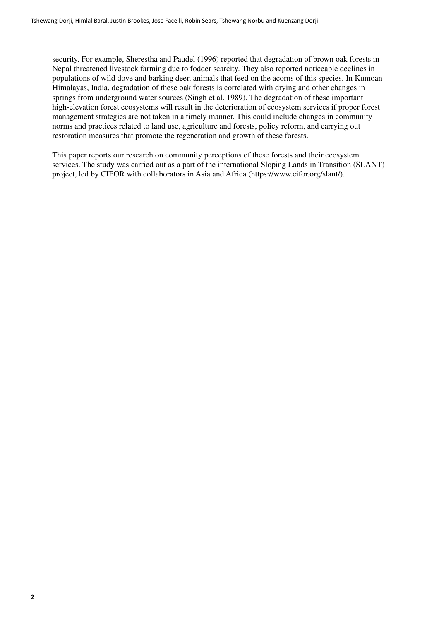security. For example, Sherestha and Paudel (1996) reported that degradation of brown oak forests in Nepal threatened livestock farming due to fodder scarcity. They also reported noticeable declines in populations of wild dove and barking deer, animals that feed on the acorns of this species. In Kumoan Himalayas, India, degradation of these oak forests is correlated with drying and other changes in springs from underground water sources (Singh et al. 1989). The degradation of these important high-elevation forest ecosystems will result in the deterioration of ecosystem services if proper forest management strategies are not taken in a timely manner. This could include changes in community norms and practices related to land use, agriculture and forests, policy reform, and carrying out restoration measures that promote the regeneration and growth of these forests.

This paper reports our research on community perceptions of these forests and their ecosystem services. The study was carried out as a part of the international Sloping Lands in Transition (SLANT) project, led by CIFOR with collaborators in Asia and Africa (<https://www.cifor.org/slant/>).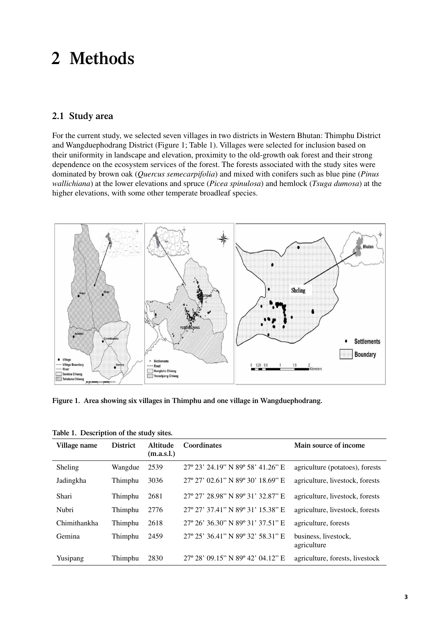### <span id="page-10-0"></span>**2 Methods**

#### **2.1 Study area**

For the current study, we selected seven villages in two districts in Western Bhutan: Thimphu District and Wangduephodrang District (Figure 1; Table 1). Villages were selected for inclusion based on their uniformity in landscape and elevation, proximity to the old-growth oak forest and their strong dependence on the ecosystem services of the forest. The forests associated with the study sites were dominated by brown oak (*Quercus semecarpifolia*) and mixed with conifers such as blue pine (*Pinus wallichiana*) at the lower elevations and spruce (*Picea spinulosa*) and hemlock (*Tsuga dumosa*) at the higher elevations, with some other temperate broadleaf species.



**Figure 1. Area showing six villages in Thimphu and one village in Wangduephodrang.**

| Village name | <b>District</b> | Altitude<br>(m.a.s.l.) | Coordinates                       | Main source of income               |
|--------------|-----------------|------------------------|-----------------------------------|-------------------------------------|
| Sheling      | Wangdue         | 2539                   | 27° 23' 24.19" N 89° 58' 41.26" E | agriculture (potatoes), forests     |
| Jadingkha    | Thimphu         | 3036                   | 27° 27' 02.61" N 89° 30' 18.69" E | agriculture, livestock, forests     |
| Shari        | Thimphu         | 2681                   | 27° 27' 28.98" N 89° 31' 32.87" E | agriculture, livestock, forests     |
| Nubri        | Thimphu         | 2776                   | 27° 27' 37.41" N 89° 31' 15.38" E | agriculture, livestock, forests     |
| Chimithankha | Thimphu         | 2618                   | 27° 26' 36.30" N 89° 31' 37.51" E | agriculture, forests                |
| Gemina       | Thimphu         | 2459                   | 27° 25' 36.41" N 89° 32' 58.31" E | business, livestock,<br>agriculture |
| Yusipang     | Thimphu         | 2830                   | 27° 28' 09.15" N 89° 42' 04.12" E | agriculture, forests, livestock     |

|  | Table 1. Description of the study sites. |  |  |  |
|--|------------------------------------------|--|--|--|
|--|------------------------------------------|--|--|--|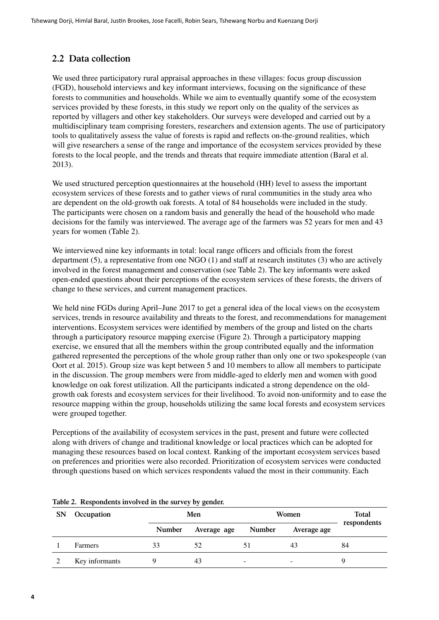#### <span id="page-11-0"></span>**2.2 Data collection**

We used three participatory rural appraisal approaches in these villages: focus group discussion (FGD), household interviews and key informant interviews, focusing on the significance of these forests to communities and households. While we aim to eventually quantify some of the ecosystem services provided by these forests, in this study we report only on the quality of the services as reported by villagers and other key stakeholders. Our surveys were developed and carried out by a multidisciplinary team comprising foresters, researchers and extension agents. The use of participatory tools to qualitatively assess the value of forests is rapid and reflects on-the-ground realities, which will give researchers a sense of the range and importance of the ecosystem services provided by these forests to the local people, and the trends and threats that require immediate attention (Baral et al. 2013).

We used structured perception questionnaires at the household (HH) level to assess the important ecosystem services of these forests and to gather views of rural communities in the study area who are dependent on the old-growth oak forests. A total of 84 households were included in the study. The participants were chosen on a random basis and generally the head of the household who made decisions for the family was interviewed. The average age of the farmers was 52 years for men and 43 years for women (Table 2).

We interviewed nine key informants in total: local range officers and officials from the forest department (5), a representative from one NGO (1) and staff at research institutes (3) who are actively involved in the forest management and conservation (see Table 2). The key informants were asked open-ended questions about their perceptions of the ecosystem services of these forests, the drivers of change to these services, and current management practices.

We held nine FGDs during April–June 2017 to get a general idea of the local views on the ecosystem services, trends in resource availability and threats to the forest, and recommendations for management interventions. Ecosystem services were identified by members of the group and listed on the charts through a participatory resource mapping exercise (Figure 2). Through a participatory mapping exercise, we ensured that all the members within the group contributed equally and the information gathered represented the perceptions of the whole group rather than only one or two spokespeople (van Oort et al. 2015). Group size was kept between 5 and 10 members to allow all members to participate in the discussion. The group members were from middle-aged to elderly men and women with good knowledge on oak forest utilization. All the participants indicated a strong dependence on the oldgrowth oak forests and ecosystem services for their livelihood. To avoid non-uniformity and to ease the resource mapping within the group, households utilizing the same local forests and ecosystem services were grouped together.

Perceptions of the availability of ecosystem services in the past, present and future were collected along with drivers of change and traditional knowledge or local practices which can be adopted for managing these resources based on local context. Ranking of the important ecosystem services based on preferences and priorities were also recorded. Prioritization of ecosystem services were conducted through questions based on which services respondents valued the most in their community. Each

| <b>SN</b> | Occupation     | Men           |             | Women                    |                          | <b>Total</b> |
|-----------|----------------|---------------|-------------|--------------------------|--------------------------|--------------|
|           |                | <b>Number</b> | Average age | <b>Number</b>            | Average age              | respondents  |
|           | Farmers        | 33            | 52          |                          | 43                       | 84           |
|           | Key informants |               | 43          | $\overline{\phantom{a}}$ | $\overline{\phantom{0}}$ |              |

#### **Table 2. Respondents involved in the survey by gender.**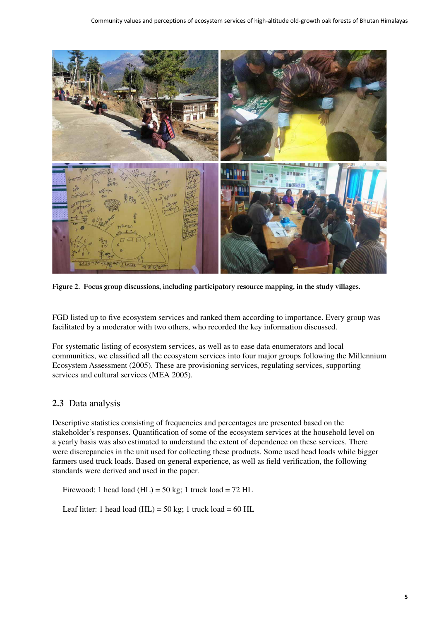<span id="page-12-0"></span>

**Figure 2. Focus group discussions, including participatory resource mapping, in the study villages.**

FGD listed up to five ecosystem services and ranked them according to importance. Every group was facilitated by a moderator with two others, who recorded the key information discussed.

For systematic listing of ecosystem services, as well as to ease data enumerators and local communities, we classified all the ecosystem services into four major groups following the Millennium Ecosystem Assessment (2005). These are provisioning services, regulating services, supporting services and cultural services (MEA 2005).

#### **2.3** Data analysis

Descriptive statistics consisting of frequencies and percentages are presented based on the stakeholder's responses. Quantification of some of the ecosystem services at the household level on a yearly basis was also estimated to understand the extent of dependence on these services. There were discrepancies in the unit used for collecting these products. Some used head loads while bigger farmers used truck loads. Based on general experience, as well as field verification, the following standards were derived and used in the paper.

Firewood: 1 head load (HL) =  $50 \text{ kg}$ ; 1 truck load =  $72 \text{ HL}$ 

Leaf litter: 1 head load (HL) =  $50 \text{ kg}$ ; 1 truck load =  $60 \text{ HL}$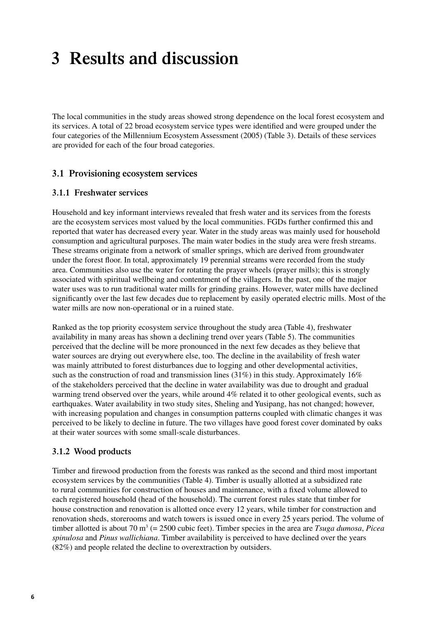### <span id="page-13-0"></span>**3 Results and discussion**

The local communities in the study areas showed strong dependence on the local forest ecosystem and its services. A total of 22 broad ecosystem service types were identified and were grouped under the four categories of the Millennium Ecosystem Assessment (2005) (Table 3). Details of these services are provided for each of the four broad categories.

#### **3.1 Provisioning ecosystem services**

#### **3.1.1 Freshwater services**

Household and key informant interviews revealed that fresh water and its services from the forests are the ecosystem services most valued by the local communities. FGDs further confirmed this and reported that water has decreased every year. Water in the study areas was mainly used for household consumption and agricultural purposes. The main water bodies in the study area were fresh streams. These streams originate from a network of smaller springs, which are derived from groundwater under the forest floor. In total, approximately 19 perennial streams were recorded from the study area. Communities also use the water for rotating the prayer wheels (prayer mills); this is strongly associated with spiritual wellbeing and contentment of the villagers. In the past, one of the major water uses was to run traditional water mills for grinding grains. However, water mills have declined significantly over the last few decades due to replacement by easily operated electric mills. Most of the water mills are now non-operational or in a ruined state.

Ranked as the top priority ecosystem service throughout the study area (Table 4), freshwater availability in many areas has shown a declining trend over years (Table 5). The communities perceived that the decline will be more pronounced in the next few decades as they believe that water sources are drying out everywhere else, too. The decline in the availability of fresh water was mainly attributed to forest disturbances due to logging and other developmental activities, such as the construction of road and transmission lines  $(31\%)$  in this study. Approximately 16% of the stakeholders perceived that the decline in water availability was due to drought and gradual warming trend observed over the years, while around 4% related it to other geological events, such as earthquakes. Water availability in two study sites, Sheling and Yusipang, has not changed; however, with increasing population and changes in consumption patterns coupled with climatic changes it was perceived to be likely to decline in future. The two villages have good forest cover dominated by oaks at their water sources with some small-scale disturbances.

#### **3.1.2 Wood products**

Timber and firewood production from the forests was ranked as the second and third most important ecosystem services by the communities (Table 4). Timber is usually allotted at a subsidized rate to rural communities for construction of houses and maintenance, with a fixed volume allowed to each registered household (head of the household). The current forest rules state that timber for house construction and renovation is allotted once every 12 years, while timber for construction and renovation sheds, storerooms and watch towers is issued once in every 25 years period. The volume of timber allotted is about 70 m<sup>3</sup> (= 2500 cubic feet). Timber species in the area are *Tsuga dumosa*, *Picea spinulosa* and *Pinus wallichiana*. Timber availability is perceived to have declined over the years (82%) and people related the decline to overextraction by outsiders.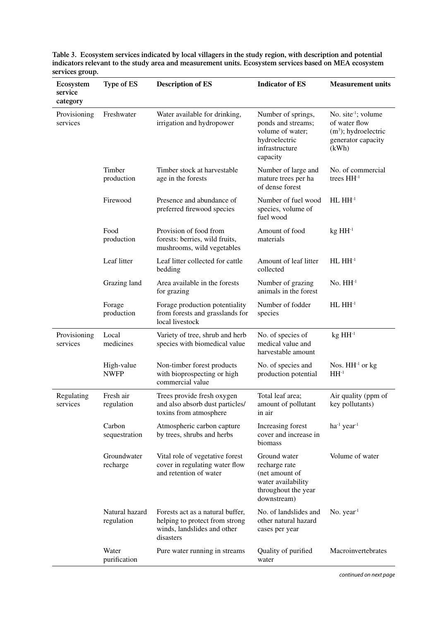| $\overline{a}$ , $\overline{b}$ , $\overline{b}$ , $\overline{c}$<br>Ecosystem<br>service | Type of ES                   | <b>Description of ES</b>                                                                                       | <b>Indicator of ES</b>                                                                                      | <b>Measurement units</b>                                                                            |
|-------------------------------------------------------------------------------------------|------------------------------|----------------------------------------------------------------------------------------------------------------|-------------------------------------------------------------------------------------------------------------|-----------------------------------------------------------------------------------------------------|
| category                                                                                  |                              |                                                                                                                |                                                                                                             |                                                                                                     |
| Provisioning<br>services                                                                  | Freshwater                   | Water available for drinking,<br>irrigation and hydropower                                                     | Number of springs,<br>ponds and streams;<br>volume of water;<br>hydroelectric<br>infrastructure<br>capacity | No. site $\cdot$ ; volume<br>of water flow<br>$(m3)$ ; hydroelectric<br>generator capacity<br>(kWh) |
|                                                                                           | Timber<br>production         | Timber stock at harvestable<br>age in the forests                                                              | Number of large and<br>mature trees per ha<br>of dense forest                                               | No. of commercial<br>trees HH <sup>-1</sup>                                                         |
|                                                                                           | Firewood                     | Presence and abundance of<br>preferred firewood species                                                        | Number of fuel wood<br>species, volume of<br>fuel wood                                                      | $HLHH-1$                                                                                            |
|                                                                                           | Food<br>production           | Provision of food from<br>forests: berries, wild fruits,<br>mushrooms, wild vegetables                         | Amount of food<br>materials                                                                                 | $kg H H^{-1}$                                                                                       |
|                                                                                           | Leaf litter                  | Leaf litter collected for cattle<br>bedding                                                                    | Amount of leaf litter<br>collected                                                                          | $HLHH-1$                                                                                            |
|                                                                                           | Grazing land                 | Area available in the forests<br>for grazing                                                                   | Number of grazing<br>animals in the forest                                                                  | $No. HH-1$                                                                                          |
|                                                                                           | Forage<br>production         | Forage production potentiality<br>from forests and grasslands for<br>local livestock                           | Number of fodder<br>species                                                                                 | $HLHH-1$                                                                                            |
| Provisioning<br>services                                                                  | Local<br>medicines           | Variety of tree, shrub and herb<br>species with biomedical value                                               | No. of species of<br>medical value and<br>harvestable amount                                                | $kg H H^{-1}$                                                                                       |
|                                                                                           | High-value<br><b>NWFP</b>    | Non-timber forest products<br>with bioprospecting or high<br>commercial value                                  | No. of species and<br>production potential                                                                  | Nos. $HH-1$ or kg<br>$HH-1$                                                                         |
| Regulating<br>services                                                                    | Fresh air<br>regulation      | Trees provide fresh oxygen<br>and also absorb dust particles/<br>toxins from atmosphere                        | Total leaf area;<br>amount of pollutant<br>in air                                                           | Air quality (ppm of<br>key pollutants)                                                              |
|                                                                                           | Carbon<br>sequestration      | Atmospheric carbon capture<br>by trees, shrubs and herbs                                                       | Increasing forest<br>cover and increase in<br>biomass                                                       | $ha^{-1} year^{-1}$                                                                                 |
|                                                                                           | Groundwater<br>recharge      | Vital role of vegetative forest<br>cover in regulating water flow<br>and retention of water                    | Ground water<br>recharge rate<br>(net amount of<br>water availability<br>throughout the year<br>downstream) | Volume of water                                                                                     |
|                                                                                           | Natural hazard<br>regulation | Forests act as a natural buffer,<br>helping to protect from strong<br>winds, landslides and other<br>disasters | No. of landslides and<br>other natural hazard<br>cases per year                                             | No. $year1$                                                                                         |
|                                                                                           | Water<br>purification        | Pure water running in streams                                                                                  | Quality of purified<br>water                                                                                | Macroinvertebrates                                                                                  |

**Table 3. Ecosystem services indicated by local villagers in the study region, with description and potential indicators relevant to the study area and measurement units. Ecosystem services based on MEA ecosystem services group.** 

*continued on next page*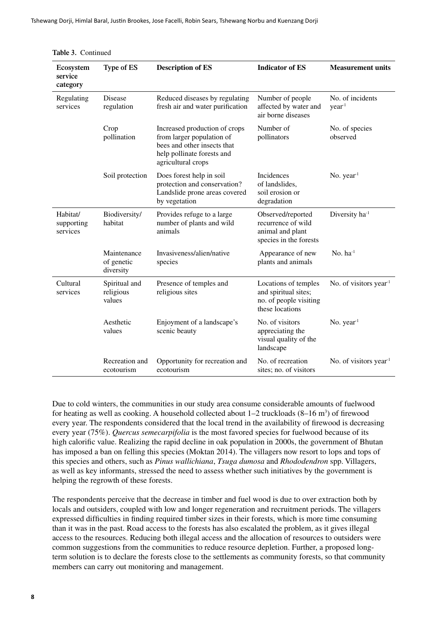Tshewang Dorji, Himlal Baral, Justin Brookes, Jose Facelli, Robin Sears, Tshewang Norbu and Kuenzang Dorji

| Ecosystem<br>service<br>category   | Type of ES                             | <b>Description of ES</b>                                                                                                                      | <b>Indicator of ES</b>                                                                    | <b>Measurement units</b>              |
|------------------------------------|----------------------------------------|-----------------------------------------------------------------------------------------------------------------------------------------------|-------------------------------------------------------------------------------------------|---------------------------------------|
| Regulating<br>services             | <b>Disease</b><br>regulation           | Reduced diseases by regulating<br>fresh air and water purification                                                                            | Number of people<br>affected by water and<br>air borne diseases                           | No. of incidents<br>year <sup>1</sup> |
|                                    | Crop<br>pollination                    | Increased production of crops<br>from larger population of<br>bees and other insects that<br>help pollinate forests and<br>agricultural crops | Number of<br>pollinators                                                                  | No. of species<br>observed            |
|                                    | Soil protection                        | Does forest help in soil<br>protection and conservation?<br>Landslide prone areas covered<br>by vegetation                                    | Incidences<br>of landslides,<br>soil erosion or<br>degradation                            | No. $year1$                           |
| Habitat/<br>supporting<br>services | Biodiversity/<br>habitat               | Provides refuge to a large<br>number of plants and wild<br>animals                                                                            | Observed/reported<br>recurrence of wild<br>animal and plant<br>species in the forests     | Diversity ha <sup>1</sup>             |
|                                    | Maintenance<br>of genetic<br>diversity | Invasiveness/alien/native<br>species                                                                                                          | Appearance of new<br>plants and animals                                                   | No. $ha^{-1}$                         |
| Cultural<br>services               | Spiritual and<br>religious<br>values   | Presence of temples and<br>religious sites                                                                                                    | Locations of temples<br>and spiritual sites;<br>no. of people visiting<br>these locations | No. of visitors year <sup>1</sup>     |
|                                    | Aesthetic<br>values                    | Enjoyment of a landscape's<br>scenic beauty                                                                                                   | No. of visitors<br>appreciating the<br>visual quality of the<br>landscape                 | No. year <sup>1</sup>                 |
|                                    | Recreation and<br>ecotourism           | Opportunity for recreation and<br>ecotourism                                                                                                  | No. of recreation<br>sites; no. of visitors                                               | No. of visitors year <sup>1</sup>     |

**Table 3.** Continued

Due to cold winters, the communities in our study area consume considerable amounts of fuelwood for heating as well as cooking. A household collected about  $1-2$  truckloads  $(8-16 \text{ m}^3)$  of firewood every year. The respondents considered that the local trend in the availability of firewood is decreasing every year (75%). *Quercus semecarpifolia* is the most favored species for fuelwood because of its high calorific value. Realizing the rapid decline in oak population in 2000s, the government of Bhutan has imposed a ban on felling this species (Moktan 2014). The villagers now resort to lops and tops of this species and others, such as *Pinus wallichiana*, *Tsuga dumosa* and *Rhododendron* spp. Villagers, as well as key informants, stressed the need to assess whether such initiatives by the government is helping the regrowth of these forests.

The respondents perceive that the decrease in timber and fuel wood is due to over extraction both by locals and outsiders, coupled with low and longer regeneration and recruitment periods. The villagers expressed difficulties in finding required timber sizes in their forests, which is more time consuming than it was in the past. Road access to the forests has also escalated the problem, as it gives illegal access to the resources. Reducing both illegal access and the allocation of resources to outsiders were common suggestions from the communities to reduce resource depletion. Further, a proposed longterm solution is to declare the forests close to the settlements as community forests, so that community members can carry out monitoring and management.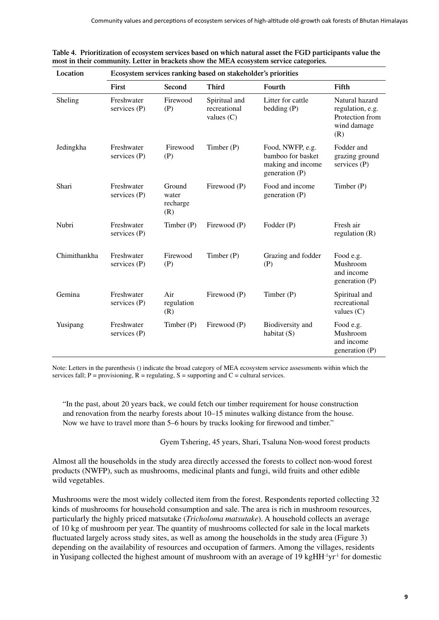| Location     | Ecosystem services ranking based on stakeholder's priorities |                                    |                                               |                                                                              |                                                                             |  |  |
|--------------|--------------------------------------------------------------|------------------------------------|-----------------------------------------------|------------------------------------------------------------------------------|-----------------------------------------------------------------------------|--|--|
|              | First                                                        | Second                             | <b>Third</b>                                  | Fourth                                                                       | Fifth                                                                       |  |  |
| Sheling      | Freshwater<br>services (P)                                   | Firewood<br>(P)                    | Spiritual and<br>recreational<br>values $(C)$ | Litter for cattle<br>bedding $(P)$                                           | Natural hazard<br>regulation, e.g.<br>Protection from<br>wind damage<br>(R) |  |  |
| Jedingkha    | Freshwater<br>services $(P)$                                 | Firewood<br>(P)                    | Timber $(P)$                                  | Food, NWFP, e.g.<br>bamboo for basket<br>making and income<br>generation (P) | Fodder and<br>grazing ground<br>services $(P)$                              |  |  |
| Shari        | Freshwater<br>services (P)                                   | Ground<br>water<br>recharge<br>(R) | Firewood (P)                                  | Food and income<br>generation (P)                                            | Timber $(P)$                                                                |  |  |
| Nubri        | Freshwater<br>services (P)                                   | Timber(P)                          | Firewood (P)                                  | Fodder (P)                                                                   | Fresh air<br>regulation $(R)$                                               |  |  |
| Chimithankha | Freshwater<br>services $(P)$                                 | Firewood<br>(P)                    | Timber $(P)$                                  | Grazing and fodder<br>(P)                                                    | Food e.g.<br>Mushroom<br>and income<br>generation (P)                       |  |  |
| Gemina       | Freshwater<br>services $(P)$                                 | Air<br>regulation<br>(R)           | Firewood (P)                                  | Timber(P)                                                                    | Spiritual and<br>recreational<br>values $(C)$                               |  |  |
| Yusipang     | Freshwater<br>services (P)                                   | Timber(P)                          | Firewood (P)                                  | Biodiversity and<br>habitat (S)                                              | Food e.g.<br>Mushroom<br>and income<br>generation (P)                       |  |  |

| Table 4. Prioritization of ecosystem services based on which natural asset the FGD participants value the |  |  |
|-----------------------------------------------------------------------------------------------------------|--|--|
| most in their community. Letter in brackets show the MEA ecosystem service categories.                    |  |  |

Note: Letters in the parenthesis () indicate the broad category of MEA ecosystem service assessments within which the services fall;  $P =$  provisioning,  $R =$  regulating,  $S =$  supporting and  $C =$  cultural services.

"In the past, about 20 years back, we could fetch our timber requirement for house construction and renovation from the nearby forests about 10–15 minutes walking distance from the house. Now we have to travel more than 5–6 hours by trucks looking for firewood and timber."

Gyem Tshering, 45 years, Shari, Tsaluna Non-wood forest products

Almost all the households in the study area directly accessed the forests to collect non-wood forest products (NWFP), such as mushrooms, medicinal plants and fungi, wild fruits and other edible wild vegetables.

Mushrooms were the most widely collected item from the forest. Respondents reported collecting 32 kinds of mushrooms for household consumption and sale. The area is rich in mushroom resources, particularly the highly priced matsutake (*Tricholoma matsutake*). A household collects an average of 10 kg of mushroom per year. The quantity of mushrooms collected for sale in the local markets fluctuated largely across study sites, as well as among the households in the study area (Figure 3) depending on the availability of resources and occupation of farmers. Among the villages, residents in Yusipang collected the highest amount of mushroom with an average of 19 kgHH<sup>-1</sup>yr<sup>-1</sup> for domestic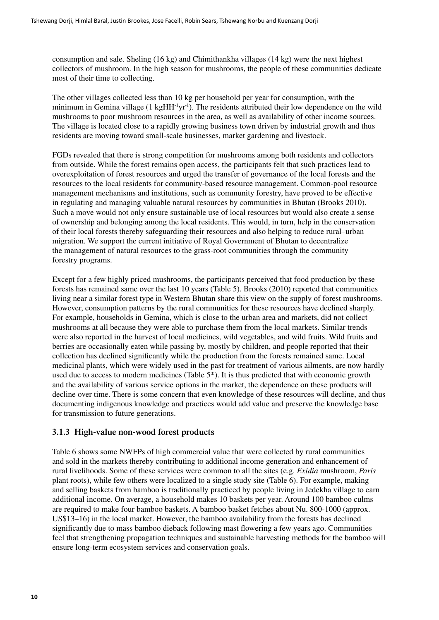consumption and sale. Sheling (16 kg) and Chimithankha villages (14 kg) were the next highest collectors of mushroom. In the high season for mushrooms, the people of these communities dedicate most of their time to collecting.

The other villages collected less than 10 kg per household per year for consumption, with the minimum in Gemina village (1 kgHH<sup>-1</sup>yr<sup>-1</sup>). The residents attributed their low dependence on the wild mushrooms to poor mushroom resources in the area, as well as availability of other income sources. The village is located close to a rapidly growing business town driven by industrial growth and thus residents are moving toward small-scale businesses, market gardening and livestock.

FGDs revealed that there is strong competition for mushrooms among both residents and collectors from outside. While the forest remains open access, the participants felt that such practices lead to overexploitation of forest resources and urged the transfer of governance of the local forests and the resources to the local residents for community-based resource management. Common-pool resource management mechanisms and institutions, such as community forestry, have proved to be effective in regulating and managing valuable natural resources by communities in Bhutan (Brooks 2010). Such a move would not only ensure sustainable use of local resources but would also create a sense of ownership and belonging among the local residents. This would, in turn, help in the conservation of their local forests thereby safeguarding their resources and also helping to reduce rural–urban migration. We support the current initiative of Royal Government of Bhutan to decentralize the management of natural resources to the grass-root communities through the community forestry programs.

Except for a few highly priced mushrooms, the participants perceived that food production by these forests has remained same over the last 10 years (Table 5). Brooks (2010) reported that communities living near a similar forest type in Western Bhutan share this view on the supply of forest mushrooms. However, consumption patterns by the rural communities for these resources have declined sharply. For example, households in Gemina, which is close to the urban area and markets, did not collect mushrooms at all because they were able to purchase them from the local markets. Similar trends were also reported in the harvest of local medicines, wild vegetables, and wild fruits. Wild fruits and berries are occasionally eaten while passing by, mostly by children, and people reported that their collection has declined significantly while the production from the forests remained same. Local medicinal plants, which were widely used in the past for treatment of various ailments, are now hardly used due to access to modern medicines (Table  $5^*$ ). It is thus predicted that with economic growth and the availability of various service options in the market, the dependence on these products will decline over time. There is some concern that even knowledge of these resources will decline, and thus documenting indigenous knowledge and practices would add value and preserve the knowledge base for transmission to future generations.

#### **3.1.3 High-value non-wood forest products**

Table 6 shows some NWFPs of high commercial value that were collected by rural communities and sold in the markets thereby contributing to additional income generation and enhancement of rural livelihoods. Some of these services were common to all the sites (e.g. *Exidia* mushroom, *Paris* plant roots), while few others were localized to a single study site (Table 6). For example, making and selling baskets from bamboo is traditionally practiced by people living in Jedekha village to earn additional income. On average, a household makes 10 baskets per year. Around 100 bamboo culms are required to make four bamboo baskets. A bamboo basket fetches about Nu. 800-1000 (approx. US\$13–16) in the local market. However, the bamboo availability from the forests has declined significantly due to mass bamboo dieback following mast flowering a few years ago. Communities feel that strengthening propagation techniques and sustainable harvesting methods for the bamboo will ensure long-term ecosystem services and conservation goals.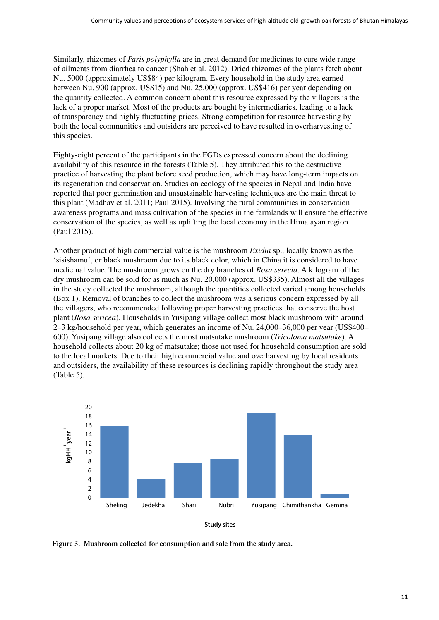<span id="page-18-0"></span>Similarly, rhizomes of *Paris polyphylla* are in great demand for medicines to cure wide range of ailments from diarrhea to cancer (Shah et al. 2012). Dried rhizomes of the plants fetch about Nu. 5000 (approximately US\$84) per kilogram. Every household in the study area earned between Nu. 900 (approx. US\$15) and Nu. 25,000 (approx. US\$416) per year depending on the quantity collected. A common concern about this resource expressed by the villagers is the lack of a proper market. Most of the products are bought by intermediaries, leading to a lack of transparency and highly fluctuating prices. Strong competition for resource harvesting by both the local communities and outsiders are perceived to have resulted in overharvesting of this species.

Eighty-eight percent of the participants in the FGDs expressed concern about the declining availability of this resource in the forests (Table 5). They attributed this to the destructive practice of harvesting the plant before seed production, which may have long-term impacts on its regeneration and conservation. Studies on ecology of the species in Nepal and India have reported that poor germination and unsustainable harvesting techniques are the main threat to this plant (Madhav et al. 2011; Paul 2015). Involving the rural communities in conservation awareness programs and mass cultivation of the species in the farmlands will ensure the effective conservation of the species, as well as uplifting the local economy in the Himalayan region (Paul 2015).

Another product of high commercial value is the mushroom *Exidia* sp., locally known as the 'sisishamu', or black mushroom due to its black color, which in China it is considered to have medicinal value. The mushroom grows on the dry branches of *Rosa serecia*. A kilogram of the dry mushroom can be sold for as much as Nu. 20,000 (approx. US\$335). Almost all the villages in the study collected the mushroom, although the quantities collected varied among households (Box 1). Removal of branches to collect the mushroom was a serious concern expressed by all the villagers, who recommended following proper harvesting practices that conserve the host plant (*Rosa sericea*). Households in Yusipang village collect most black mushroom with around 2–3 kg/household per year, which generates an income of Nu. 24,000–36,000 per year (US\$400– 600). Yusipang village also collects the most matsutake mushroom (*Tricoloma matsutake*). A household collects about 20 kg of matsutake; those not used for household consumption are sold to the local markets. Due to their high commercial value and overharvesting by local residents and outsiders, the availability of these resources is declining rapidly throughout the study area (Table 5).



**Figure 3. Mushroom collected for consumption and sale from the study area.**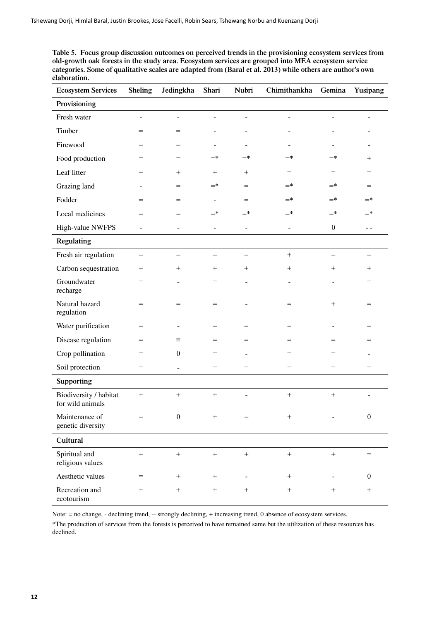**Table 5. Focus group discussion outcomes on perceived trends in the provisioning ecosystem services from old-growth oak forests in the study area. Ecosystem services are grouped into MEA ecosystem service categories. Some of qualitative scales are adapted from (Baral et al. 2013) while others are author's own elaboration.**

| <b>Ecosystem Services</b>                  | <b>Sheling</b>           | Jedingkha                | Shari                        | Nubri                    | Chimithankha                 | Gemina           | Yusipang                            |
|--------------------------------------------|--------------------------|--------------------------|------------------------------|--------------------------|------------------------------|------------------|-------------------------------------|
| Provisioning                               |                          |                          |                              |                          |                              |                  |                                     |
| Fresh water                                | $\blacksquare$           | $\overline{\phantom{a}}$ | $\overline{a}$               | $\overline{a}$           |                              |                  |                                     |
| Timber                                     | $=$                      | $=$                      | $\overline{a}$               | $\overline{a}$           |                              |                  |                                     |
| Firewood                                   | $=$                      | $=$                      |                              |                          |                              |                  |                                     |
| Food production                            | $=$                      | $=$                      | $=$ *                        | $=$ *                    | $=$ *                        | $=$ *            | $^{+}$                              |
| Leaf litter                                | $^{+}$                   | $^{+}$                   | $^{+}$                       | $\! + \!\!\!\!$          | $=$                          | $=$              | $=$                                 |
| Grazing land                               |                          | =                        | $=$ *                        | $=$                      | $=$ *                        | $=$ *            | $=$                                 |
| Fodder                                     | $=$                      | $=$                      | $\overline{a}$               | $=$                      | $=$ *                        | $=$ *            | $=$ *                               |
| Local medicines                            | $=$                      | $=$                      | $=$ *                        | $=$ *                    | $=^*$                        | $=$ *            | $=$ *                               |
| High-value NWFPS                           | $\overline{\phantom{0}}$ | $\blacksquare$           | $\qquad \qquad \blacksquare$ | $\overline{\phantom{a}}$ | $\qquad \qquad \blacksquare$ | $\boldsymbol{0}$ | $\sim$ $-$                          |
| <b>Regulating</b>                          |                          |                          |                              |                          |                              |                  |                                     |
| Fresh air regulation                       | $=$                      | $=$                      | $=$                          | $=$                      | $+$                          | $=$              | $\hspace*{0.4em} = \hspace*{0.4em}$ |
| Carbon sequestration                       | $\! + \!\!\!\!$          | $^+$                     | $^{+}$                       | $^{+}$                   | $^{+}$                       | $^{+}$           | $^{+}$                              |
| Groundwater<br>recharge                    | $=$                      | $\blacksquare$           | $=$                          | $\blacksquare$           |                              |                  | $=$                                 |
| Natural hazard<br>regulation               | $=$                      | $=$                      | $=$                          |                          | $=$                          | $^{+}$           | $=$                                 |
| Water purification                         | $=$                      | $\overline{a}$           | $=$                          | $=$                      | $=$                          |                  | $=$                                 |
| Disease regulation                         | $=$                      | Ξ                        | $=$                          | $=$                      | $=$                          | $=$              | $=$                                 |
| Crop pollination                           | $=$                      | $\boldsymbol{0}$         | $=$                          | $\overline{a}$           | $=$                          | $=$              |                                     |
| Soil protection                            | $=$                      | $\overline{\phantom{0}}$ | $=$                          | $=$                      | $=$                          | $=$              | $=$                                 |
| <b>Supporting</b>                          |                          |                          |                              |                          |                              |                  |                                     |
| Biodiversity / habitat<br>for wild animals | $^{+}$                   | $+$                      |                              |                          | $\! + \!\!\!\!$              |                  |                                     |
| Maintenance of<br>genetic diversity        | $=$                      | $\boldsymbol{0}$         | $^+$                         | $=$                      |                              |                  | $\bf{0}$                            |
| Cultural                                   |                          |                          |                              |                          |                              |                  |                                     |
| Spiritual and<br>religious values          | $^{+}$                   | $^{+}$                   |                              |                          | $+$                          |                  | $=$                                 |
| Aesthetic values                           | $=$                      | $^{+}$                   | $^{+}$                       |                          | $^{+}$                       |                  | $\boldsymbol{0}$                    |
| Recreation and<br>ecotourism               | $+$                      | $^{+}$                   | $\boldsymbol{+}$             | $+$                      | $^{+}$                       |                  |                                     |

Note: = no change, - declining trend, -- strongly declining, + increasing trend, 0 absence of ecosystem services.

\*The production of services from the forests is perceived to have remained same but the utilization of these resources has declined.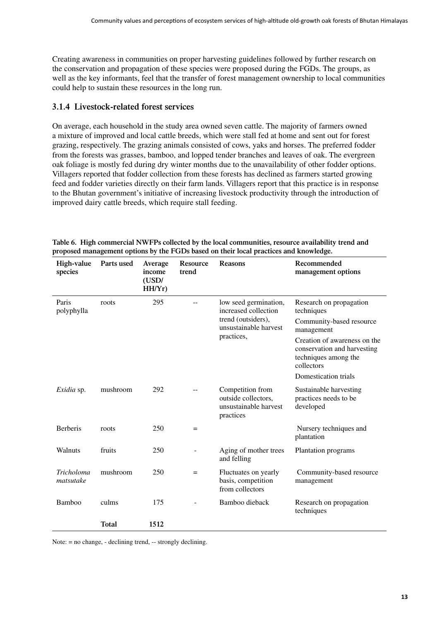Creating awareness in communities on proper harvesting guidelines followed by further research on the conservation and propagation of these species were proposed during the FGDs. The groups, as well as the key informants, feel that the transfer of forest management ownership to local communities could help to sustain these resources in the long run.

#### **3.1.4 Livestock-related forest services**

On average, each household in the study area owned seven cattle. The majority of farmers owned a mixture of improved and local cattle breeds, which were stall fed at home and sent out for forest grazing, respectively. The grazing animals consisted of cows, yaks and horses. The preferred fodder from the forests was grasses, bamboo, and lopped tender branches and leaves of oak. The evergreen oak foliage is mostly fed during dry winter months due to the unavailability of other fodder options. Villagers reported that fodder collection from these forests has declined as farmers started growing feed and fodder varieties directly on their farm lands. Villagers report that this practice is in response to the Bhutan government's initiative of increasing livestock productivity through the introduction of improved dairy cattle breeds, which require stall feeding.

| High-value<br>species          | Parts used   | Average<br>income<br>(USD/<br>HH/Yr) | Resource<br>trend | <b>Reasons</b>                                                                                             | Recommended<br>management options                                                                                                                                                                            |
|--------------------------------|--------------|--------------------------------------|-------------------|------------------------------------------------------------------------------------------------------------|--------------------------------------------------------------------------------------------------------------------------------------------------------------------------------------------------------------|
| Paris<br>polyphylla            | roots        | 295                                  |                   | low seed germination,<br>increased collection<br>trend (outsiders),<br>unsustainable harvest<br>practices, | Research on propagation<br>techniques<br>Community-based resource<br>management<br>Creation of awareness on the<br>conservation and harvesting<br>techniques among the<br>collectors<br>Domestication trials |
| Exidia sp.                     | mushroom     | 292                                  |                   | Competition from<br>outside collectors,<br>unsustainable harvest<br>practices                              | Sustainable harvesting<br>practices needs to be<br>developed                                                                                                                                                 |
| <b>Berberis</b>                | roots        | 250                                  | $=$               |                                                                                                            | Nursery techniques and<br>plantation                                                                                                                                                                         |
| Walnuts                        | fruits       | 250                                  |                   | Aging of mother trees<br>and felling                                                                       | Plantation programs                                                                                                                                                                                          |
| <b>Tricholoma</b><br>matsutake | mushroom     | 250                                  | $=$               | Fluctuates on yearly<br>basis, competition<br>from collectors                                              | Community-based resource<br>management                                                                                                                                                                       |
| Bamboo                         | culms        | 175                                  |                   | Bamboo dieback                                                                                             | Research on propagation<br>techniques                                                                                                                                                                        |
|                                | <b>Total</b> | 1512                                 |                   |                                                                                                            |                                                                                                                                                                                                              |

**Table 6. High commercial NWFPs collected by the local communities, resource availability trend and proposed management options by the FGDs based on their local practices and knowledge.**

Note: = no change, - declining trend, -- strongly declining.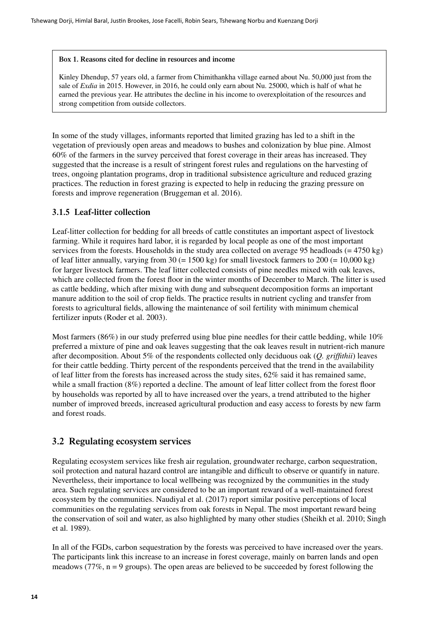#### <span id="page-21-0"></span>**Box 1. Reasons cited for decline in resources and income**

Kinley Dhendup, 57 years old, a farmer from Chimithankha village earned about Nu. 50,000 just from the sale of *Exdia* in 2015. However, in 2016, he could only earn about Nu. 25000, which is half of what he earned the previous year. He attributes the decline in his income to overexploitation of the resources and strong competition from outside collectors.

In some of the study villages, informants reported that limited grazing has led to a shift in the vegetation of previously open areas and meadows to bushes and colonization by blue pine. Almost 60% of the farmers in the survey perceived that forest coverage in their areas has increased. They suggested that the increase is a result of stringent forest rules and regulations on the harvesting of trees, ongoing plantation programs, drop in traditional subsistence agriculture and reduced grazing practices. The reduction in forest grazing is expected to help in reducing the grazing pressure on forests and improve regeneration (Bruggeman et al. 2016).

#### **3.1.5 Leaf-litter collection**

Leaf-litter collection for bedding for all breeds of cattle constitutes an important aspect of livestock farming. While it requires hard labor, it is regarded by local people as one of the most important services from the forests. Households in the study area collected on average 95 headloads (= 4750 kg) of leaf litter annually, varying from  $30 (= 1500 \text{ kg})$  for small livestock farmers to  $200 (= 10,000 \text{ kg})$ for larger livestock farmers. The leaf litter collected consists of pine needles mixed with oak leaves, which are collected from the forest floor in the winter months of December to March. The litter is used as cattle bedding, which after mixing with dung and subsequent decomposition forms an important manure addition to the soil of crop fields. The practice results in nutrient cycling and transfer from forests to agricultural fields, allowing the maintenance of soil fertility with minimum chemical fertilizer inputs (Roder et al. 2003).

Most farmers (86%) in our study preferred using blue pine needles for their cattle bedding, while 10% preferred a mixture of pine and oak leaves suggesting that the oak leaves result in nutrient-rich manure after decomposition. About 5% of the respondents collected only deciduous oak (*Q. griffithii*) leaves for their cattle bedding. Thirty percent of the respondents perceived that the trend in the availability of leaf litter from the forests has increased across the study sites, 62% said it has remained same, while a small fraction (8%) reported a decline. The amount of leaf litter collect from the forest floor by households was reported by all to have increased over the years, a trend attributed to the higher number of improved breeds, increased agricultural production and easy access to forests by new farm and forest roads.

#### **3.2 Regulating ecosystem services**

Regulating ecosystem services like fresh air regulation, groundwater recharge, carbon sequestration, soil protection and natural hazard control are intangible and difficult to observe or quantify in nature. Nevertheless, their importance to local wellbeing was recognized by the communities in the study area. Such regulating services are considered to be an important reward of a well-maintained forest ecosystem by the communities. Naudiyal et al. (2017) report similar positive perceptions of local communities on the regulating services from oak forests in Nepal. The most important reward being the conservation of soil and water, as also highlighted by many other studies (Sheikh et al. 2010; Singh et al. 1989).

In all of the FGDs, carbon sequestration by the forests was perceived to have increased over the years. The participants link this increase to an increase in forest coverage, mainly on barren lands and open meadows (77%,  $n = 9$  groups). The open areas are believed to be succeeded by forest following the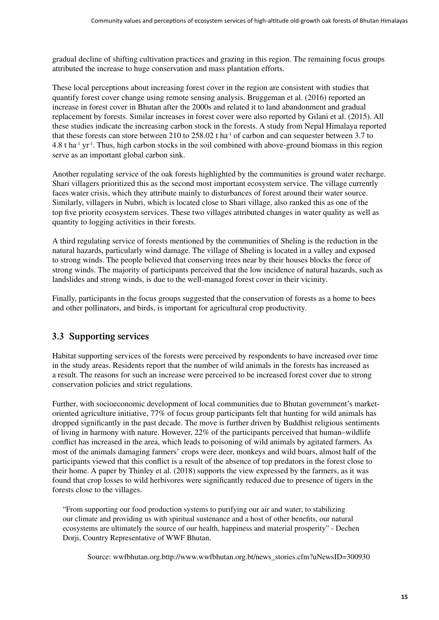<span id="page-22-0"></span>gradual decline of shifting cultivation practices and grazing in this region. The remaining focus groups attributed the increase to huge conservation and mass plantation efforts.

These local perceptions about increasing forest cover in the region are consistent with studies that quantify forest cover change using remote sensing analysis. Bruggeman et al. (2016) reported an increase in forest cover in Bhutan after the 2000s and related it to land abandonment and gradual replacement by forests. Similar increases in forest cover were also reported by Gilani et al. (2015). All these studies indicate the increasing carbon stock in the forests. A study from Nepal Himalaya reported that these forests can store between 210 to 258.02 t ha<sup>-1</sup> of carbon and can sequester between 3.7 to  $4.8$  t ha<sup>-1</sup> yr<sup>-1</sup>. Thus, high carbon stocks in the soil combined with above-ground biomass in this region serve as an important global carbon sink.

Another regulating service of the oak forests highlighted by the communities is ground water recharge. Shari villagers prioritized this as the second most important ecosystem service. The village currently faces water crisis, which they attribute mainly to disturbances of forest around their water source. Similarly, villagers in Nubri, which is located close to Shari village, also ranked this as one of the top five priority ecosystem services. These two villages attributed changes in water quality as well as quantity to logging activities in their forests.

A third regulating service of forests mentioned by the communities of Sheling is the reduction in the natural hazards, particularly wind damage. The village of Sheling is located in a valley and exposed to strong winds. The people believed that conserving trees near by their houses blocks the force of strong winds. The majority of participants perceived that the low incidence of natural hazards, such as landslides and strong winds, is due to the well-managed forest cover in their vicinity.

Finally, participants in the focus groups suggested that the conservation of forests as a home to bees and other pollinators, and birds, is important for agricultural crop productivity.

#### **3.3 Supporting services**

Habitat supporting services of the forests were perceived by respondents to have increased over time in the study areas. Residents report that the number of wild animals in the forests has increased as a result. The reasons for such an increase were perceived to be increased forest cover due to strong conservation policies and strict regulations.

Further, with socioeconomic development of local communities due to Bhutan government's marketoriented agriculture initiative, 77% of focus group participants felt that hunting for wild animals has dropped significantly in the past decade. The move is further driven by Buddhist religious sentiments of living in harmony with nature. However, 22% of the participants perceived that human–wildlife conflict has increased in the area, which leads to poisoning of wild animals by agitated farmers. As most of the animals damaging farmers' crops were deer, monkeys and wild boars, almost half of the participants viewed that this conflict is a result of the absence of top predators in the forest close to their home. A paper by Thinley et al. (2018) supports the view expressed by the farmers, as it was found that crop losses to wild herbivores were significantly reduced due to presence of tigers in the forests close to the villages.

"From supporting our food production systems to purifying our air and water, to stabilizing our climate and providing us with spiritual sustenance and a host of other benefits, our natural ecosystems are ultimately the source of our health, happiness and material prosperity" - Dechen Dorji, Country Representative of WWF Bhutan.

Source: wwfbhutan.org.bttp://www.wwfbhutan.org.bt/news\_stories.cfm?uNewsID=300930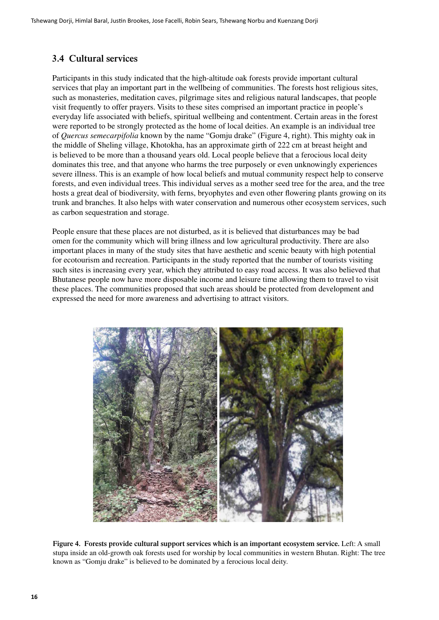#### <span id="page-23-0"></span>**3.4 Cultural services**

Participants in this study indicated that the high-altitude oak forests provide important cultural services that play an important part in the wellbeing of communities. The forests host religious sites, such as monasteries, meditation caves, pilgrimage sites and religious natural landscapes, that people visit frequently to offer prayers. Visits to these sites comprised an important practice in people's everyday life associated with beliefs, spiritual wellbeing and contentment. Certain areas in the forest were reported to be strongly protected as the home of local deities. An example is an individual tree of *Quercus semecarpifolia* known by the name "Gomju drake" (Figure 4, right). This mighty oak in the middle of Sheling village, Khotokha, has an approximate girth of 222 cm at breast height and is believed to be more than a thousand years old. Local people believe that a ferocious local deity dominates this tree, and that anyone who harms the tree purposely or even unknowingly experiences severe illness. This is an example of how local beliefs and mutual community respect help to conserve forests, and even individual trees. This individual serves as a mother seed tree for the area, and the tree hosts a great deal of biodiversity, with ferns, bryophytes and even other flowering plants growing on its trunk and branches. It also helps with water conservation and numerous other ecosystem services, such as carbon sequestration and storage.

People ensure that these places are not disturbed, as it is believed that disturbances may be bad omen for the community which will bring illness and low agricultural productivity. There are also important places in many of the study sites that have aesthetic and scenic beauty with high potential for ecotourism and recreation. Participants in the study reported that the number of tourists visiting such sites is increasing every year, which they attributed to easy road access. It was also believed that Bhutanese people now have more disposable income and leisure time allowing them to travel to visit these places. The communities proposed that such areas should be protected from development and expressed the need for more awareness and advertising to attract visitors.



**Figure 4. Forests provide cultural support services which is an important ecosystem service.** Left: A small stupa inside an old-growth oak forests used for worship by local communities in western Bhutan. Right: The tree known as "Gomju drake" is believed to be dominated by a ferocious local deity.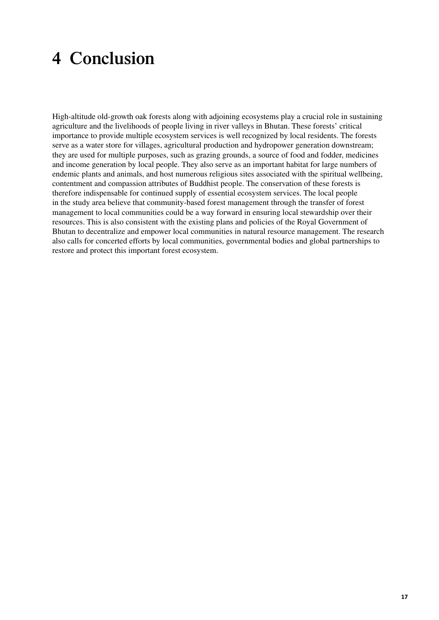## <span id="page-24-0"></span>**4 Conclusion**

High-altitude old-growth oak forests along with adjoining ecosystems play a crucial role in sustaining agriculture and the livelihoods of people living in river valleys in Bhutan. These forests' critical importance to provide multiple ecosystem services is well recognized by local residents. The forests serve as a water store for villages, agricultural production and hydropower generation downstream; they are used for multiple purposes, such as grazing grounds, a source of food and fodder, medicines and income generation by local people. They also serve as an important habitat for large numbers of endemic plants and animals, and host numerous religious sites associated with the spiritual wellbeing, contentment and compassion attributes of Buddhist people. The conservation of these forests is therefore indispensable for continued supply of essential ecosystem services. The local people in the study area believe that community-based forest management through the transfer of forest management to local communities could be a way forward in ensuring local stewardship over their resources. This is also consistent with the existing plans and policies of the Royal Government of Bhutan to decentralize and empower local communities in natural resource management. The research also calls for concerted efforts by local communities, governmental bodies and global partnerships to restore and protect this important forest ecosystem.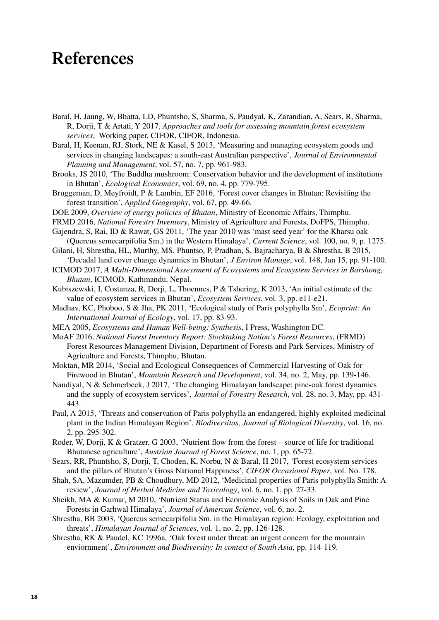### <span id="page-25-0"></span>**References**

- Baral, H, Jaung, W, Bhatta, LD, Phuntsho, S, Sharma, S, Paudyal, K, Zarandian, A, Sears, R, Sharma, R, Dorji, T & Artati, Y 2017, *Approaches and tools for assessing mountain forest ecosystem services*, Working paper, CIFOR, CIFOR, Indonesia.
- Baral, H, Keenan, RJ, Stork, NE & Kasel, S 2013, 'Measuring and managing ecosystem goods and services in changing landscapes: a south-east Australian perspective', *Journal of Environmental Planning and Management*, vol. 57, no. 7, pp. 961-983.
- Brooks, JS 2010, 'The Buddha mushroom: Conservation behavior and the development of institutions in Bhutan', *Ecological Economics*, vol. 69, no. 4, pp. 779-795.
- Bruggeman, D, Meyfroidt, P & Lambin, EF 2016, 'Forest cover changes in Bhutan: Revisiting the forest transition', *Applied Geography*, vol. 67, pp. 49-66.
- DOE 2009, *Overview of energy policies of Bhutan*, Ministry of Economic Affairs, Thimphu.
- FRMD 2016, *National Forestry Inventory*, Ministry of Agriculture and Forests, DoFPS, Thimphu.
- Gajendra, S, Rai, ID & Rawat, GS 2011, 'The year 2010 was 'mast seed year' for the Kharsu oak (Quercus semecarpifolia Sm.) in the Western Himalaya', *Current Science*, vol. 100, no. 9, p. 1275.
- Gilani, H, Shrestha, HL, Murthy, MS, Phuntso, P, Pradhan, S, Bajracharya, B & Shrestha, B 2015, 'Decadal land cover change dynamics in Bhutan', *J Environ Manage*, vol. 148, Jan 15, pp. 91-100.
- ICIMOD 2017, *A Multi-Dimensional Assessment of Ecosystems and Ecosystem Services in Barshong, Bhutan*, ICIMOD, Kathmandu, Nepal.
- Kubiszewski, I, Costanza, R, Dorji, L, Thoennes, P & Tshering, K 2013, 'An initial estimate of the value of ecosystem services in Bhutan', *Ecosystem Services*, vol. 3, pp. e11-e21.
- Madhav, KC, Phoboo, S & Jha, PK 2011, 'Ecological study of Paris polyphylla Sm', *Ecoprint: An International Journal of Ecology*, vol. 17, pp. 83-93.
- MEA 2005, *Ecosystems and Human Well-being: Synthesis*, I Press, Washington DC.
- MoAF 2016, *National Forest Inventory Report: Stocktaking Nation's Forest Resources*, (FRMD) Forest Resources Management Division, Department of Forests and Park Services, Ministry of Agriculture and Forests, Thimphu, Bhutan.
- Moktan, MR 2014, 'Social and Ecological Consequences of Commercial Harvesting of Oak for Firewood in Bhutan', *Mountain Research and Development*, vol. 34, no. 2, May, pp. 139-146.
- Naudiyal, N & Schmerbeck, J 2017, 'The changing Himalayan landscape: pine-oak forest dynamics and the supply of ecosystem services', *Journal of Forestry Research*, vol. 28, no. 3, May, pp. 431- 443.
- Paul, A 2015, 'Threats and conservation of Paris polyphylla an endangered, highly exploited medicinal plant in the Indian Himalayan Region', *Biodiversitas, Journal of Biological Diversity*, vol. 16, no. 2, pp. 295-302.
- Roder, W, Dorji, K & Gratzer, G 2003, 'Nutrient flow from the forest source of life for traditional Bhutanese agriculture', *Austrian Journal of Forest Science*, no. 1, pp. 65-72.
- Sears, RR, Phuntsho, S, Dorji, T, Choden, K, Norbu, N & Baral, H 2017, 'Forest ecosystem services and the pillars of Bhutan's Gross National Happiness', *CIFOR Occasional Paper*, vol. No. 178.
- Shah, SA, Mazumder, PB & Choudhury, MD 2012, 'Medicinal properties of Paris polyphylla Smith: A review', *Journal of Herbal Medicine and Toxicology*, vol. 6, no. 1, pp. 27-33.
- Sheikh, MA & Kumar, M 2010, 'Nutrient Status and Economic Analysis of Soils in Oak and Pine Forests in Garhwal Himalaya', *Journal of Amercan Science*, vol. 6, no. 2.
- Shrestha, BB 2003, 'Quercus semecarpifolia Sm. in the Himalayan region: Ecology, exploitation and threats', *Himalayan Journal of Sciences*, vol. 1, no. 2, pp. 126-128.
- Shrestha, RK & Paudel, KC 1996a, 'Oak forest under threat: an urgent concern for the mountain enviornment', *Environment and Biodiversity: In context of South Asia*, pp. 114-119.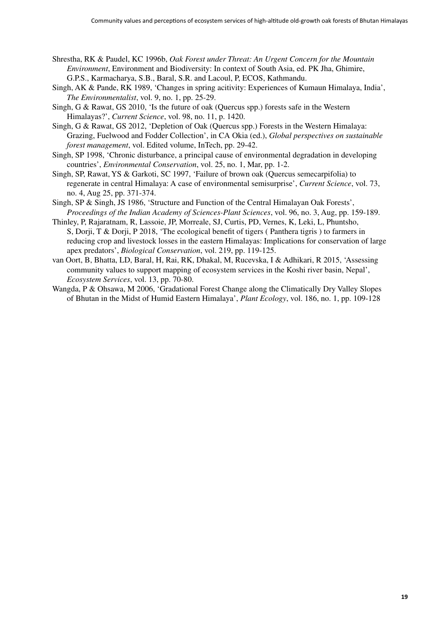Shrestha, RK & Paudel, KC 1996b, *Oak Forest under Threat: An Urgent Concern for the Mountain Environment*, Environment and Biodiversity: In context of South Asia, ed. PK Jha, Ghimire, G.P.S., Karmacharya, S.B., Baral, S.R. and Lacoul, P, ECOS, Kathmandu.

- Singh, AK & Pande, RK 1989, 'Changes in spring acitivity: Experiences of Kumaun Himalaya, India', *The Environmentalist*, vol. 9, no. 1, pp. 25-29.
- Singh, G & Rawat, GS 2010, 'Is the future of oak (Quercus spp.) forests safe in the Western Himalayas?', *Current Science*, vol. 98, no. 11, p. 1420.
- Singh, G & Rawat, GS 2012, 'Depletion of Oak (Quercus spp.) Forests in the Western Himalaya: Grazing, Fuelwood and Fodder Collection', in CA Okia (ed.), *Global perspectives on sustainable forest management*, vol. Edited volume, InTech, pp. 29-42.
- Singh, SP 1998, 'Chronic disturbance, a principal cause of environmental degradation in developing countries', *Environmental Conservation*, vol. 25, no. 1, Mar, pp. 1-2.
- Singh, SP, Rawat, YS & Garkoti, SC 1997, 'Failure of brown oak (Quercus semecarpifolia) to regenerate in central Himalaya: A case of environmental semisurprise', *Current Science*, vol. 73, no. 4, Aug 25, pp. 371-374.
- Singh, SP & Singh, JS 1986, 'Structure and Function of the Central Himalayan Oak Forests', *Proceedings of the Indian Academy of Sciences-Plant Sciences*, vol. 96, no. 3, Aug, pp. 159-189.
- Thinley, P, Rajaratnam, R, Lassoie, JP, Morreale, SJ, Curtis, PD, Vernes, K, Leki, L, Phuntsho, S, Dorji, T & Dorji, P 2018, 'The ecological benefit of tigers ( Panthera tigris ) to farmers in reducing crop and livestock losses in the eastern Himalayas: Implications for conservation of large apex predators', *Biological Conservation*, vol. 219, pp. 119-125.
- van Oort, B, Bhatta, LD, Baral, H, Rai, RK, Dhakal, M, Rucevska, I & Adhikari, R 2015, 'Assessing community values to support mapping of ecosystem services in the Koshi river basin, Nepal', *Ecosystem Services*, vol. 13, pp. 70-80.
- Wangda, P & Ohsawa, M 2006, 'Gradational Forest Change along the Climatically Dry Valley Slopes of Bhutan in the Midst of Humid Eastern Himalaya', *Plant Ecology*, vol. 186, no. 1, pp. 109-128